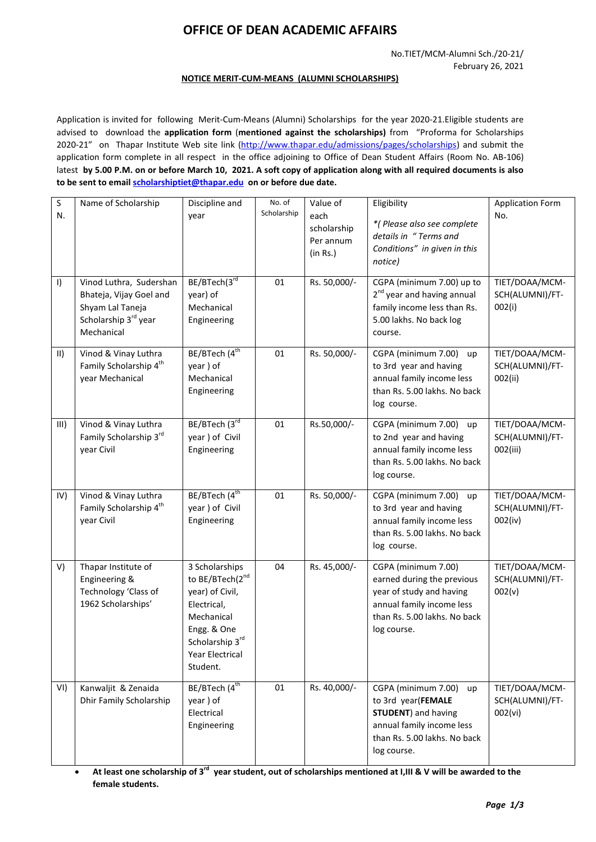# **OFFICE OF DEAN ACADEMIC AFFAIRS**

#### **NOTICE MERIT-CUM-MEANS (ALUMNI SCHOLARSHIPS)**

Application is invited for following Merit-Cum-Means (Alumni) Scholarships for the year 2020-21.Eligible students are advised to download the **application form** (**mentioned against the scholarships)** from "Proforma for Scholarships 2020-21" on Thapar Institute Web site link [\(http://www.thapar.edu/admissions/pages/scholarships\)](http://www.thapar.edu/admissions/pages/scholarships) and submit the application form complete in all respect in the office adjoining to Office of Dean Student Affairs (Room No. AB-106) latest **by 5.00 P.M. on or before March 10, 2021. A soft copy of application along with all required documents is also to be sent to email [scholarshiptiet@thapar.edu](mailto:scholarshiptiet@thapar.edu) on or before due date.** 

| $\sf S$<br>N.       | Name of Scholarship                                                                                                      | Discipline and<br>year                                                                                                                             | No. of<br>Scholarship | Value of<br>each<br>scholarship<br>Per annum<br>(in Rs.) | Eligibility<br>*(Please also see complete<br>details in "Terms and<br>Conditions" in given in this<br>notice)                                              | <b>Application Form</b><br>No.                |
|---------------------|--------------------------------------------------------------------------------------------------------------------------|----------------------------------------------------------------------------------------------------------------------------------------------------|-----------------------|----------------------------------------------------------|------------------------------------------------------------------------------------------------------------------------------------------------------------|-----------------------------------------------|
| $\vert$             | Vinod Luthra, Sudershan<br>Bhateja, Vijay Goel and<br>Shyam Lal Taneja<br>Scholarship 3 <sup>rd</sup> year<br>Mechanical | BE/BTech(3rd<br>year) of<br>Mechanical<br>Engineering                                                                                              | 01                    | Rs. 50,000/-                                             | CGPA (minimum 7.00) up to<br>2 <sup>nd</sup> year and having annual<br>family income less than Rs.<br>5.00 lakhs. No back log<br>course.                   | TIET/DOAA/MCM-<br>SCH(ALUMNI)/FT-<br>002(i)   |
| $\vert \vert \vert$ | Vinod & Vinay Luthra<br>Family Scholarship 4 <sup>th</sup><br>year Mechanical                                            | BE/BTech (4 <sup>th</sup><br>year) of<br>Mechanical<br>Engineering                                                                                 | 01                    | Rs. 50,000/-                                             | CGPA (minimum 7.00)<br>up<br>to 3rd year and having<br>annual family income less<br>than Rs. 5.00 lakhs. No back<br>log course.                            | TIET/DOAA/MCM-<br>SCH(ALUMNI)/FT-<br>002(ii)  |
| III)                | Vinod & Vinay Luthra<br>Family Scholarship 3rd<br>year Civil                                                             | BE/BTech (3rd<br>year) of Civil<br>Engineering                                                                                                     | 01                    | Rs.50,000/-                                              | CGPA (minimum 7.00) up<br>to 2nd year and having<br>annual family income less<br>than Rs. 5.00 lakhs. No back<br>log course.                               | TIET/DOAA/MCM-<br>SCH(ALUMNI)/FT-<br>002(iii) |
| IV)                 | Vinod & Vinay Luthra<br>Family Scholarship 4 <sup>th</sup><br>year Civil                                                 | BE/BTech (4 <sup>th</sup><br>year) of Civil<br>Engineering                                                                                         | 01                    | Rs. 50,000/-                                             | CGPA (minimum 7.00) up<br>to 3rd year and having<br>annual family income less<br>than Rs. 5.00 lakhs. No back<br>log course.                               | TIET/DOAA/MCM-<br>SCH(ALUMNI)/FT-<br>002(iv)  |
| V)                  | Thapar Institute of<br>Engineering &<br>Technology 'Class of<br>1962 Scholarships'                                       | 3 Scholarships<br>to BE/BTech(2nd<br>year) of Civil,<br>Electrical,<br>Mechanical<br>Engg. & One<br>Scholarship 3rd<br>Year Electrical<br>Student. | 04                    | Rs. 45,000/-                                             | CGPA (minimum 7.00)<br>earned during the previous<br>year of study and having<br>annual family income less<br>than Rs. 5.00 lakhs. No back<br>log course.  | TIET/DOAA/MCM-<br>SCH(ALUMNI)/FT-<br>002(v)   |
| VI)                 | Kanwaljit & Zenaida<br>Dhir Family Scholarship                                                                           | BE/BTech (4 <sup>th</sup><br>year) of<br>Electrical<br>Engineering                                                                                 | 01                    | Rs. 40,000/-                                             | CGPA (minimum 7.00)<br>up<br>to 3rd year(FEMALE<br><b>STUDENT</b> ) and having<br>annual family income less<br>than Rs. 5.00 lakhs. No back<br>log course. | TIET/DOAA/MCM-<br>SCH(ALUMNI)/FT-<br>002(vi)  |

**At least one scholarship of 3<sup>rd</sup> year student, out of scholarships mentioned at I,III & V will be awarded to the female students.**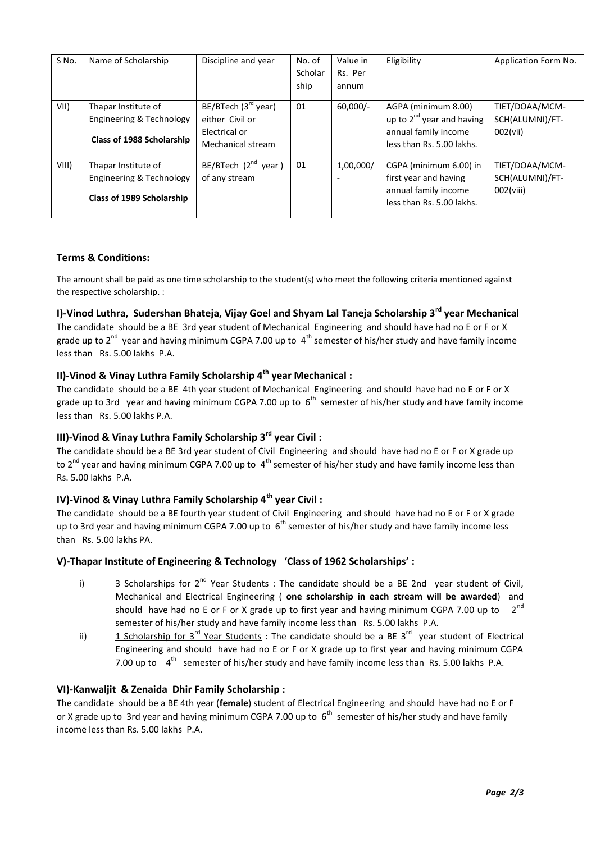| S No. | Name of Scholarship                                                          | Discipline and year                                                                      | No. of<br>Scholar<br>ship | Value in<br>Rs. Per<br>annum | Eligibility                                                                                                | Application Form No.                              |
|-------|------------------------------------------------------------------------------|------------------------------------------------------------------------------------------|---------------------------|------------------------------|------------------------------------------------------------------------------------------------------------|---------------------------------------------------|
| VII)  | Thapar Institute of<br>Engineering & Technology<br>Class of 1988 Scholarship | BE/BTech (3 <sup>rd</sup> year)<br>either Civil or<br>Electrical or<br>Mechanical stream | 01                        | $60.000/-$                   | AGPA (minimum 8.00)<br>up to $2^{nd}$ year and having<br>annual family income<br>less than Rs. 5.00 lakhs. | TIET/DOAA/MCM-<br>SCH(ALUMNI)/FT-<br>002(vii)     |
| VIII) | Thapar Institute of<br>Engineering & Technology<br>Class of 1989 Scholarship | BE/BTech $(2^{nd}$ year)<br>of any stream                                                | 01                        | 1,00,000/                    | CGPA (minimum 6.00) in<br>first year and having<br>annual family income<br>less than Rs. 5.00 lakhs.       | TIET/DOAA/MCM-<br>SCH(ALUMNI)/FT-<br>$002$ (viii) |

### **Terms & Conditions:**

The amount shall be paid as one time scholarship to the student(s) who meet the following criteria mentioned against the respective scholarship. :

## **I)-Vinod Luthra, Sudershan Bhateja, Vijay Goel and Shyam Lal Taneja Scholarship 3rd year Mechanical**

The candidate should be a BE 3rd year student of Mechanical Engineering and should have had no E or F or X grade up to 2<sup>nd</sup> year and having minimum CGPA 7.00 up to 4<sup>th</sup> semester of his/her study and have family income less than Rs. 5.00 lakhs P.A.

### **II)-Vinod & Vinay Luthra Family Scholarship 4th year Mechanical :**

The candidate should be a BE 4th year student of Mechanical Engineering and should have had no E or F or X grade up to 3rd year and having minimum CGPA 7.00 up to  $6<sup>th</sup>$  semester of his/her study and have family income less than Rs. 5.00 lakhs P.A.

## **III)-Vinod & Vinay Luthra Family Scholarship 3rd year Civil :**

The candidate should be a BE 3rd year student of Civil Engineering and should have had no E or F or X grade up to 2<sup>nd</sup> year and having minimum CGPA 7.00 up to 4<sup>th</sup> semester of his/her study and have family income less than Rs. 5.00 lakhs P.A.

# **IV)-Vinod & Vinay Luthra Family Scholarship 4th year Civil :**

The candidate should be a BE fourth year student of Civil Engineering and should have had no E or F or X grade up to 3rd year and having minimum CGPA 7.00 up to  $6<sup>th</sup>$  semester of his/her study and have family income less than Rs. 5.00 lakhs PA.

### **V)-Thapar Institute of Engineering & Technology 'Class of 1962 Scholarships' :**

- i) 3 Scholarships for  $2^{nd}$  Year Students : The candidate should be a BE 2nd year student of Civil, Mechanical and Electrical Engineering ( **one scholarship in each stream will be awarded**) and should have had no E or F or X grade up to first year and having minimum CGPA 7.00 up to  $2^{nd}$ semester of his/her study and have family income less than Rs. 5.00 lakhs P.A.
- ii) 1 Scholarship for 3<sup>rd</sup> Year Students : The candidate should be a BE 3<sup>rd</sup> year student of Electrical Engineering and should have had no E or F or X grade up to first year and having minimum CGPA 7.00 up to 4<sup>th</sup> semester of his/her study and have family income less than Rs. 5.00 lakhs P.A.

### **VI)-Kanwaljit & Zenaida Dhir Family Scholarship :**

The candidate should be a BE 4th year (**female**) student of Electrical Engineering and should have had no E or F or X grade up to 3rd year and having minimum CGPA 7.00 up to  $6<sup>th</sup>$  semester of his/her study and have family income less than Rs. 5.00 lakhs P.A.